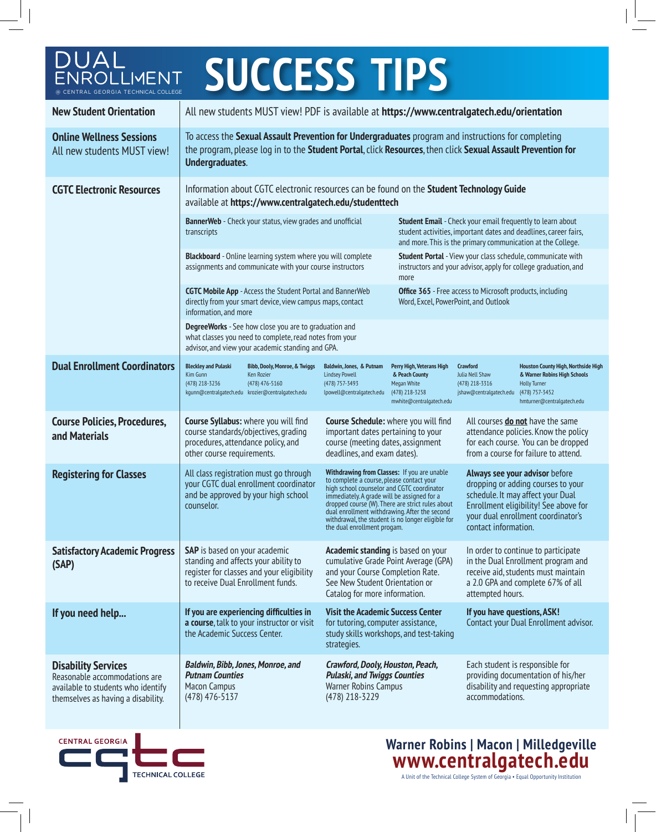| DUAL<br><b>SUCCESS TIPS</b>                                                                                                             |                                                                                                                                                                                                                                                                                                                                                                                                                                                                                                                        |                                                                                                                                                                                                                                                                                                                                              |                                                                                                                   |                                                                                                                                                                                                                  |                                                                                                                                                                           |                                                                                                                                            |  |
|-----------------------------------------------------------------------------------------------------------------------------------------|------------------------------------------------------------------------------------------------------------------------------------------------------------------------------------------------------------------------------------------------------------------------------------------------------------------------------------------------------------------------------------------------------------------------------------------------------------------------------------------------------------------------|----------------------------------------------------------------------------------------------------------------------------------------------------------------------------------------------------------------------------------------------------------------------------------------------------------------------------------------------|-------------------------------------------------------------------------------------------------------------------|------------------------------------------------------------------------------------------------------------------------------------------------------------------------------------------------------------------|---------------------------------------------------------------------------------------------------------------------------------------------------------------------------|--------------------------------------------------------------------------------------------------------------------------------------------|--|
| ENROLLIMENT<br>CENTRAL GEORGIA TECHNICAL COLLEGE                                                                                        |                                                                                                                                                                                                                                                                                                                                                                                                                                                                                                                        |                                                                                                                                                                                                                                                                                                                                              |                                                                                                                   |                                                                                                                                                                                                                  |                                                                                                                                                                           |                                                                                                                                            |  |
| <b>New Student Orientation</b>                                                                                                          | All new students MUST view! PDF is available at https://www.centralgatech.edu/orientation                                                                                                                                                                                                                                                                                                                                                                                                                              |                                                                                                                                                                                                                                                                                                                                              |                                                                                                                   |                                                                                                                                                                                                                  |                                                                                                                                                                           |                                                                                                                                            |  |
| <b>Online Wellness Sessions</b><br>All new students MUST view!                                                                          | To access the Sexual Assault Prevention for Undergraduates program and instructions for completing<br>the program, please log in to the Student Portal, click Resources, then click Sexual Assault Prevention for<br>Undergraduates.                                                                                                                                                                                                                                                                                   |                                                                                                                                                                                                                                                                                                                                              |                                                                                                                   |                                                                                                                                                                                                                  |                                                                                                                                                                           |                                                                                                                                            |  |
| <b>CGTC Electronic Resources</b>                                                                                                        | Information about CGTC electronic resources can be found on the Student Technology Guide<br>available at https://www.centralgatech.edu/studenttech                                                                                                                                                                                                                                                                                                                                                                     |                                                                                                                                                                                                                                                                                                                                              |                                                                                                                   |                                                                                                                                                                                                                  |                                                                                                                                                                           |                                                                                                                                            |  |
|                                                                                                                                         | BannerWeb - Check your status, view grades and unofficial<br>transcripts                                                                                                                                                                                                                                                                                                                                                                                                                                               |                                                                                                                                                                                                                                                                                                                                              |                                                                                                                   | <b>Student Email</b> - Check your email frequently to learn about<br>student activities, important dates and deadlines, career fairs,<br>and more. This is the primary communication at the College.             |                                                                                                                                                                           |                                                                                                                                            |  |
|                                                                                                                                         | <b>Blackboard</b> - Online learning system where you will complete<br>assignments and communicate with your course instructors                                                                                                                                                                                                                                                                                                                                                                                         |                                                                                                                                                                                                                                                                                                                                              |                                                                                                                   | Student Portal - View your class schedule, communicate with<br>instructors and your advisor, apply for college graduation, and<br>more                                                                           |                                                                                                                                                                           |                                                                                                                                            |  |
|                                                                                                                                         | <b>CGTC Mobile App</b> - Access the Student Portal and BannerWeb<br>directly from your smart device, view campus maps, contact<br>information, and more                                                                                                                                                                                                                                                                                                                                                                |                                                                                                                                                                                                                                                                                                                                              |                                                                                                                   | <b>Office 365</b> - Free access to Microsoft products, including<br>Word, Excel, PowerPoint, and Outlook                                                                                                         |                                                                                                                                                                           |                                                                                                                                            |  |
|                                                                                                                                         | DegreeWorks - See how close you are to graduation and<br>what classes you need to complete, read notes from your<br>advisor, and view your academic standing and GPA.                                                                                                                                                                                                                                                                                                                                                  |                                                                                                                                                                                                                                                                                                                                              |                                                                                                                   |                                                                                                                                                                                                                  |                                                                                                                                                                           |                                                                                                                                            |  |
| <b>Dual Enrollment Coordinators</b>                                                                                                     | <b>Bleckley and Pulaski</b><br>Kim Gunn<br>(478) 218-3236<br>kgunn@centralgatech.edu krozier@centralgatech.edu                                                                                                                                                                                                                                                                                                                                                                                                         | Bibb, Dooly, Monroe, & Twiggs<br>Ken Rozier<br>(478) 476-5160                                                                                                                                                                                                                                                                                | Baldwin, Jones, & Putnam<br><b>Lindsey Powell</b><br>(478) 757-3493<br>lpowell@centralgatech.edu                  | Perry High, Veterans High<br>& Peach County<br>Megan White<br>(478) 218-3258<br>mwhite@centralgatech.edu                                                                                                         | <b>Crawford</b><br><b>Julia Nell Shaw</b><br>(478) 218-3316<br>jshaw@centralgatech.edu                                                                                    | Houston County High, Northside High<br>& Warner Robins High Schools<br><b>Holly Turner</b><br>(478) 757-3452<br>hmturner@centralgatech.edu |  |
| <b>Course Policies, Procedures,</b><br>and Materials                                                                                    | <b>Course Syllabus:</b> where you will find<br><b>Course Schedule:</b> where you will find<br>course standards/objectives, grading<br>important dates pertaining to your<br>procedures, attendance policy, and<br>course (meeting dates, assignment<br>deadlines, and exam dates).<br>other course requirements.                                                                                                                                                                                                       |                                                                                                                                                                                                                                                                                                                                              |                                                                                                                   | All courses do not have the same<br>attendance policies. Know the policy<br>for each course. You can be dropped<br>from a course for failure to attend.                                                          |                                                                                                                                                                           |                                                                                                                                            |  |
| <b>Registering for Classes</b>                                                                                                          | Withdrawing from Classes: If you are unable<br>All class registration must go through<br>to complete a course, please contact your<br>your CGTC dual enrollment coordinator<br>high school counselor and CGTC coordinator<br>and be approved by your high school<br>immediately. A grade will be assigned for a<br>dropped course (W). There are strict rules about<br>counselor.<br>dual enrollment withdrawing. After the second<br>withdrawal, the student is no longer eligible for<br>the dual enrollment progam. |                                                                                                                                                                                                                                                                                                                                              |                                                                                                                   | Always see your advisor before<br>dropping or adding courses to your<br>schedule. It may affect your Dual<br>Enrollment eligibility! See above for<br>your dual enrollment coordinator's<br>contact information. |                                                                                                                                                                           |                                                                                                                                            |  |
| <b>Satisfactory Academic Progress</b><br>(SAP)                                                                                          |                                                                                                                                                                                                                                                                                                                                                                                                                                                                                                                        | SAP is based on your academic<br>Academic standing is based on your<br>standing and affects your ability to<br>cumulative Grade Point Average (GPA)<br>register for classes and your eligibility<br>and your Course Completion Rate.<br>to receive Dual Enrollment funds.<br>See New Student Orientation or<br>Catalog for more information. |                                                                                                                   |                                                                                                                                                                                                                  | In order to continue to participate<br>in the Dual Enrollment program and<br>receive aid, students must maintain<br>a 2.0 GPA and complete 67% of all<br>attempted hours. |                                                                                                                                            |  |
| If you need help                                                                                                                        | If you are experiencing difficulties in<br>a course, talk to your instructor or visit<br>the Academic Success Center.                                                                                                                                                                                                                                                                                                                                                                                                  |                                                                                                                                                                                                                                                                                                                                              | strategies.                                                                                                       | <b>Visit the Academic Success Center</b><br>for tutoring, computer assistance,<br>study skills workshops, and test-taking                                                                                        |                                                                                                                                                                           | If you have questions, ASK!<br>Contact your Dual Enrollment advisor.                                                                       |  |
| <b>Disability Services</b><br>Reasonable accommodations are<br>available to students who identify<br>themselves as having a disability. | Baldwin, Bibb, Jones, Monroe, and<br><b>Putnam Counties</b><br><b>Macon Campus</b><br>(478) 476-5137                                                                                                                                                                                                                                                                                                                                                                                                                   |                                                                                                                                                                                                                                                                                                                                              | Crawford, Dooly, Houston, Peach,<br><b>Pulaski, and Twiggs Counties</b><br>Warner Robins Campus<br>(478) 218-3229 |                                                                                                                                                                                                                  | Each student is responsible for<br>providing documentation of his/her<br>disability and requesting appropriate<br>accommodations.                                         |                                                                                                                                            |  |
|                                                                                                                                         |                                                                                                                                                                                                                                                                                                                                                                                                                                                                                                                        |                                                                                                                                                                                                                                                                                                                                              |                                                                                                                   |                                                                                                                                                                                                                  |                                                                                                                                                                           |                                                                                                                                            |  |

**CENTRAL GEORGIA** TECHNICAL COLLEGE

**Warner Robins | Macon | Milledgeville** WWW.Centralgatech.edu<br>A Unit of the Technical College System of Georgia • Equal Opportunity Institution